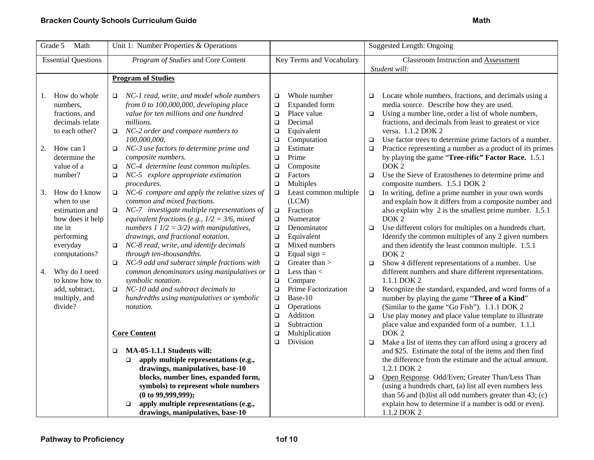| Math<br>Grade 5                                                                                                                                    | Unit 1: Number Properties & Operations                                                                                                                                                                                                                                                                                                                                                                  |                                                                                                                                                                                                                                       | <b>Suggested Length: Ongoing</b>                                                                                                                                                                                                                                                                                                                                                                                                                                                                                                                        |
|----------------------------------------------------------------------------------------------------------------------------------------------------|---------------------------------------------------------------------------------------------------------------------------------------------------------------------------------------------------------------------------------------------------------------------------------------------------------------------------------------------------------------------------------------------------------|---------------------------------------------------------------------------------------------------------------------------------------------------------------------------------------------------------------------------------------|---------------------------------------------------------------------------------------------------------------------------------------------------------------------------------------------------------------------------------------------------------------------------------------------------------------------------------------------------------------------------------------------------------------------------------------------------------------------------------------------------------------------------------------------------------|
| <b>Essential Questions</b>                                                                                                                         | Program of Studies and Core Content                                                                                                                                                                                                                                                                                                                                                                     | Key Terms and Vocabulary                                                                                                                                                                                                              | <b>Classroom Instruction and Assessment</b>                                                                                                                                                                                                                                                                                                                                                                                                                                                                                                             |
|                                                                                                                                                    |                                                                                                                                                                                                                                                                                                                                                                                                         |                                                                                                                                                                                                                                       | Student will:                                                                                                                                                                                                                                                                                                                                                                                                                                                                                                                                           |
|                                                                                                                                                    | <b>Program of Studies</b>                                                                                                                                                                                                                                                                                                                                                                               |                                                                                                                                                                                                                                       |                                                                                                                                                                                                                                                                                                                                                                                                                                                                                                                                                         |
| How do whole<br>1.<br>numbers,<br>fractions, and<br>decimals relate<br>to each other?<br>2.<br>How can I<br>determine the<br>value of a<br>number? | NC-1 read, write, and model whole numbers<br>$\Box$<br>from 0 to $100,000,000$ , developing place<br>value for ten millions and one hundred<br>millions.<br>NC-2 order and compare numbers to<br>$\Box$<br>100,000,000.<br>NC-3 use factors to determine prime and<br>$\Box$<br>composite numbers.<br>NC-4 determine least common multiples.<br>$\Box$<br>NC-5 explore appropriate estimation<br>$\Box$ | Whole number<br>$\Box$<br>Expanded form<br>$\Box$<br>Place value<br>$\Box$<br>Decimal<br>$\Box$<br>Equivalent<br>$\Box$<br>Computation<br>$\Box$<br>Estimate<br>$\Box$<br>Prime<br>$\Box$<br>$\Box$<br>Composite<br>Factors<br>$\Box$ | Locate whole numbers, fractions, and decimals using a<br>$\Box$<br>media source. Describe how they are used.<br>Using a number line, order a list of whole numbers,<br>$\Box$<br>fractions, and decimals from least to greatest or vice<br>versa. 1.1.2 DOK 2<br>Use factor trees to determine prime factors of a number.<br>$\Box$<br>Practice representing a number as a product of its primes<br>$\Box$<br>by playing the game "Tree-rific" Factor Race. 1.5.1<br>DOK <sub>2</sub><br>Use the Sieve of Eratosthenes to determine prime and<br>$\Box$ |
| How do I know<br>3.<br>when to use<br>estimation and<br>how does it help                                                                           | procedures.<br>NC-6 compare and apply the relative sizes of<br>$\Box$<br>common and mixed fractions.<br>NC-7 investigate multiple representations of<br>$\Box$<br>equivalent fractions (e.g., $1/2 = 3/6$ , mixed                                                                                                                                                                                       | Multiples<br>$\Box$<br>Least common multiple<br>$\Box$<br>(LCM)<br>Fraction<br>$\Box$<br>$\Box$<br>Numerator                                                                                                                          | composite numbers. 1.5.1 DOK 2<br>In writing, define a prime number in your own words<br>$\Box$<br>and explain how it differs from a composite number and<br>also explain why 2 is the smallest prime number. 1.5.1<br>DOK <sub>2</sub>                                                                                                                                                                                                                                                                                                                 |
| me in<br>performing<br>everyday<br>computations?<br>Why do I need<br>4.                                                                            | numbers $1 \frac{1}{2} = \frac{3}{2}$ with manipulatives,<br>drawings, and fractional notation.<br>NC-8 read, write, and identify decimals<br>$\Box$<br>through ten-thousandths.<br>NC-9 add and subtract simple fractions with<br>$\Box$<br>common denominators using manipulatives or                                                                                                                 | $\Box$<br>Denominator<br>Equivalent<br>$\Box$<br>Mixed numbers<br>$\Box$<br>Equal sign $=$<br>$\Box$<br>Greater than ><br>$\Box$<br>Less than $<$<br>$\Box$                                                                           | $\Box$<br>Use different colors for multiples on a hundreds chart.<br>Identify the common multiples of any 2 given numbers<br>and then identify the least common multiple. 1.5.1<br>DOK <sub>2</sub><br>Show 4 different representations of a number. Use<br>$\Box$<br>different numbers and share different representations.                                                                                                                                                                                                                            |
| to know how to<br>add, subtract,<br>multiply, and<br>divide?                                                                                       | symbolic notation.<br>NC-10 add and subtract decimals to<br>$\Box$<br>hundredths using manipulatives or symbolic<br>notation.                                                                                                                                                                                                                                                                           | $\Box$<br>Compare<br>Prime Factorization<br>$\Box$<br>Base-10<br>$\Box$<br>Operations<br>$\Box$<br>Addition<br>$\Box$<br>Subtraction<br>$\Box$                                                                                        | 1.1.1 DOK 2<br>Recognize the standard, expanded, and word forms of a<br>$\Box$<br>number by playing the game "Three of a Kind"<br>(Similar to the game "Go Fish"). 1.1.1 DOK 2<br>Use play money and place value template to illustrate<br>$\Box$<br>place value and expanded form of a number. 1.1.1                                                                                                                                                                                                                                                   |
|                                                                                                                                                    | <b>Core Content</b><br>MA-05-1.1.1 Students will:<br>$\Box$<br>apply multiple representations (e.g.,<br>$\Box$<br>drawings, manipulatives, base-10<br>blocks, number lines, expanded form,<br>symbols) to represent whole numbers<br>(0 to 99,999,999);<br>apply multiple representations (e.g.,<br>$\Box$<br>drawings, manipulatives, base-10                                                          | Multiplication<br>$\Box$<br>Division<br>$\Box$                                                                                                                                                                                        | DOK <sub>2</sub><br>Make a list of items they can afford using a grocery ad<br>$\Box$<br>and \$25. Estimate the total of the items and then find<br>the difference from the estimate and the actual amount.<br>1.2.1 DOK 2<br>Open Response Odd/Even; Greater Than/Less Than<br>$\Box$<br>(using a hundreds chart, (a) list all even numbers less<br>than 56 and (b) list all odd numbers greater than $43$ ; (c)<br>explain how to determine if a number is odd or even).<br>1.1.2 DOK 2                                                               |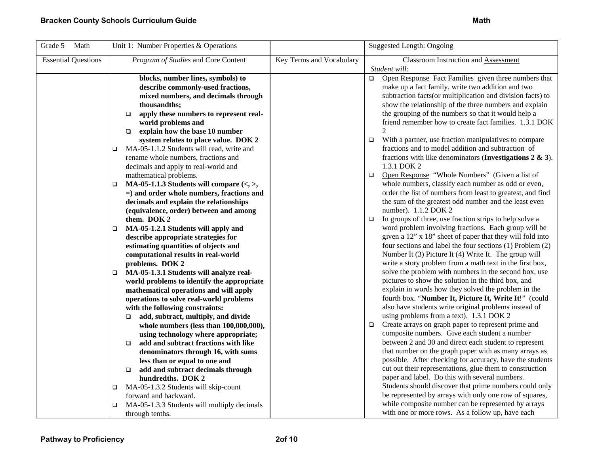| Grade 5<br>Math            | Unit 1: Number Properties & Operations                                    |                          | Suggested Length: Ongoing                                         |
|----------------------------|---------------------------------------------------------------------------|--------------------------|-------------------------------------------------------------------|
| <b>Essential Questions</b> | Program of Studies and Core Content                                       | Key Terms and Vocabulary | Classroom Instruction and Assessment                              |
|                            |                                                                           |                          | Student will:                                                     |
|                            | blocks, number lines, symbols) to                                         |                          | Open Response Fact Families given three numbers that<br>$\Box$    |
|                            | describe commonly-used fractions,                                         |                          | make up a fact family, write two addition and two                 |
|                            | mixed numbers, and decimals through                                       |                          | subtraction facts (or multiplication and division facts) to       |
|                            | thousandths;                                                              |                          | show the relationship of the three numbers and explain            |
|                            | apply these numbers to represent real-<br>$\Box$                          |                          | the grouping of the numbers so that it would help a               |
|                            | world problems and                                                        |                          | friend remember how to create fact families. 1.3.1 DOK            |
|                            | explain how the base 10 number<br>$\Box$                                  |                          |                                                                   |
|                            | system relates to place value. DOK 2                                      |                          | With a partner, use fraction manipulatives to compare<br>$\Box$   |
|                            | MA-05-1.1.2 Students will read, write and<br>$\Box$                       |                          | fractions and to model addition and subtraction of                |
|                            | rename whole numbers, fractions and                                       |                          | fractions with like denominators (Investigations $2 \& 3$ ).      |
|                            | decimals and apply to real-world and                                      |                          | 1.3.1 DOK 2                                                       |
|                            | mathematical problems.                                                    |                          | Open Response "Whole Numbers" (Given a list of<br>$\Box$          |
|                            | MA-05-1.1.3 Students will compare $\langle \langle , \rangle$ ,<br>$\Box$ |                          | whole numbers, classify each number as odd or even,               |
|                            | $=$ ) and order whole numbers, fractions and                              |                          | order the list of numbers from least to greatest, and find        |
|                            | decimals and explain the relationships                                    |                          | the sum of the greatest odd number and the least even             |
|                            | (equivalence, order) between and among                                    |                          | number). 1.1.2 DOK 2                                              |
|                            | them. DOK 2                                                               |                          | In groups of three, use fraction strips to help solve a<br>$\Box$ |
|                            | MA-05-1.2.1 Students will apply and<br>$\Box$                             |                          | word problem involving fractions. Each group will be              |
|                            | describe appropriate strategies for                                       |                          | given a 12" x 18" sheet of paper that they will fold into         |
|                            | estimating quantities of objects and                                      |                          | four sections and label the four sections (1) Problem (2)         |
|                            | computational results in real-world                                       |                          | Number It (3) Picture It (4) Write It. The group will             |
|                            | problems. DOK 2                                                           |                          | write a story problem from a math text in the first box,          |
|                            | MA-05-1.3.1 Students will analyze real-<br>$\Box$                         |                          | solve the problem with numbers in the second box, use             |
|                            | world problems to identify the appropriate                                |                          | pictures to show the solution in the third box, and               |
|                            | mathematical operations and will apply                                    |                          | explain in words how they solved the problem in the               |
|                            | operations to solve real-world problems                                   |                          | fourth box. "Number It, Picture It, Write It!" (could             |
|                            | with the following constraints:                                           |                          | also have students write original problems instead of             |
|                            | add, subtract, multiply, and divide<br>$\Box$                             |                          | using problems from a text). 1.3.1 DOK 2                          |
|                            | whole numbers (less than 100,000,000),                                    |                          | Create arrays on graph paper to represent prime and<br>$\Box$     |
|                            | using technology where appropriate;                                       |                          | composite numbers. Give each student a number                     |
|                            | add and subtract fractions with like<br>$\Box$                            |                          | between 2 and 30 and direct each student to represent             |
|                            | denominators through 16, with sums                                        |                          | that number on the graph paper with as many arrays as             |
|                            | less than or equal to one and                                             |                          | possible. After checking for accuracy, have the students          |
|                            | add and subtract decimals through<br>$\Box$                               |                          | cut out their representations, glue them to construction          |
|                            | hundredths. DOK 2                                                         |                          | paper and label. Do this with several numbers.                    |
|                            | MA-05-1.3.2 Students will skip-count<br>$\Box$                            |                          | Students should discover that prime numbers could only            |
|                            | forward and backward.                                                     |                          | be represented by arrays with only one row of squares,            |
|                            | MA-05-1.3.3 Students will multiply decimals<br>▫                          |                          | while composite number can be represented by arrays               |
|                            | through tenths.                                                           |                          | with one or more rows. As a follow up, have each                  |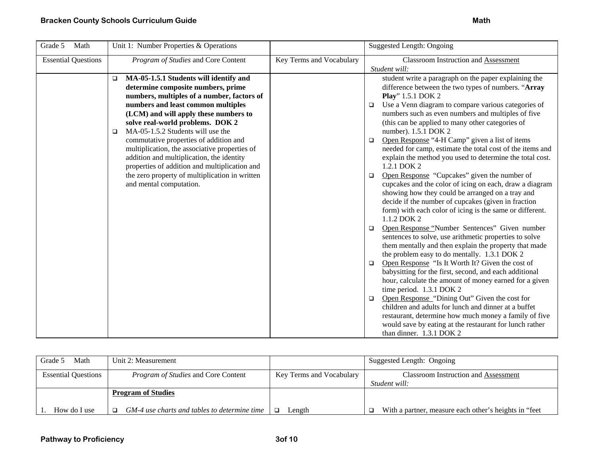| Grade 5<br>Math            | Unit 1: Number Properties & Operations                                                                                                                                                                                                                                                                                                                                                                                                                                                                                                                                       |                          | <b>Suggested Length: Ongoing</b>                                                                                                                                                                                                                                                                                                                                                                                                                                                                                                                                                                                                                                                                                                                                                                                                                                                                                                                                                                                                                                                                                                                                                                                                                                                                                                                                                                                                                                                                                                                                   |
|----------------------------|------------------------------------------------------------------------------------------------------------------------------------------------------------------------------------------------------------------------------------------------------------------------------------------------------------------------------------------------------------------------------------------------------------------------------------------------------------------------------------------------------------------------------------------------------------------------------|--------------------------|--------------------------------------------------------------------------------------------------------------------------------------------------------------------------------------------------------------------------------------------------------------------------------------------------------------------------------------------------------------------------------------------------------------------------------------------------------------------------------------------------------------------------------------------------------------------------------------------------------------------------------------------------------------------------------------------------------------------------------------------------------------------------------------------------------------------------------------------------------------------------------------------------------------------------------------------------------------------------------------------------------------------------------------------------------------------------------------------------------------------------------------------------------------------------------------------------------------------------------------------------------------------------------------------------------------------------------------------------------------------------------------------------------------------------------------------------------------------------------------------------------------------------------------------------------------------|
| <b>Essential Questions</b> | Program of Studies and Core Content                                                                                                                                                                                                                                                                                                                                                                                                                                                                                                                                          | Key Terms and Vocabulary | <b>Classroom Instruction and Assessment</b><br>Student will:                                                                                                                                                                                                                                                                                                                                                                                                                                                                                                                                                                                                                                                                                                                                                                                                                                                                                                                                                                                                                                                                                                                                                                                                                                                                                                                                                                                                                                                                                                       |
|                            | MA-05-1.5.1 Students will identify and<br>$\Box$<br>determine composite numbers, prime<br>numbers, multiples of a number, factors of<br>numbers and least common multiples<br>(LCM) and will apply these numbers to<br>solve real-world problems. DOK 2<br>MA-05-1.5.2 Students will use the<br>$\Box$<br>commutative properties of addition and<br>multiplication, the associative properties of<br>addition and multiplication, the identity<br>properties of addition and multiplication and<br>the zero property of multiplication in written<br>and mental computation. |                          | student write a paragraph on the paper explaining the<br>difference between the two types of numbers. "Array<br>Play" 1.5.1 DOK 2<br>Use a Venn diagram to compare various categories of<br>$\Box$<br>numbers such as even numbers and multiples of five<br>(this can be applied to many other categories of<br>number). 1.5.1 DOK 2<br>Open Response "4-H Camp" given a list of items<br>$\Box$<br>needed for camp, estimate the total cost of the items and<br>explain the method you used to determine the total cost.<br>1.2.1 DOK 2<br>Open Response "Cupcakes" given the number of<br>$\Box$<br>cupcakes and the color of icing on each, draw a diagram<br>showing how they could be arranged on a tray and<br>decide if the number of cupcakes (given in fraction<br>form) with each color of icing is the same or different.<br>1.1.2 DOK 2<br>Open Response "Number Sentences" Given number<br>$\Box$<br>sentences to solve, use arithmetic properties to solve<br>them mentally and then explain the property that made<br>the problem easy to do mentally. 1.3.1 DOK 2<br>Open Response "Is It Worth It? Given the cost of<br>$\Box$<br>babysitting for the first, second, and each additional<br>hour, calculate the amount of money earned for a given<br>time period. 1.3.1 DOK 2<br>Open Response "Dining Out" Given the cost for<br>$\Box$<br>children and adults for lunch and dinner at a buffet<br>restaurant, determine how much money a family of five<br>would save by eating at the restaurant for lunch rather<br>than dinner. 1.3.1 DOK 2 |

| Math<br>Grade 5            | Unit 2: Measurement                          |                          | Suggested Length: Ongoing                             |
|----------------------------|----------------------------------------------|--------------------------|-------------------------------------------------------|
| <b>Essential Questions</b> | <i>Program of Studies</i> and Core Content   | Key Terms and Vocabulary | <b>Classroom Instruction and Assessment</b>           |
|                            |                                              |                          | Student will:                                         |
|                            | <b>Program of Studies</b>                    |                          |                                                       |
| How do I use               | GM-4 use charts and tables to determine time | ∟ength                   | With a partner, measure each other's heights in "feet |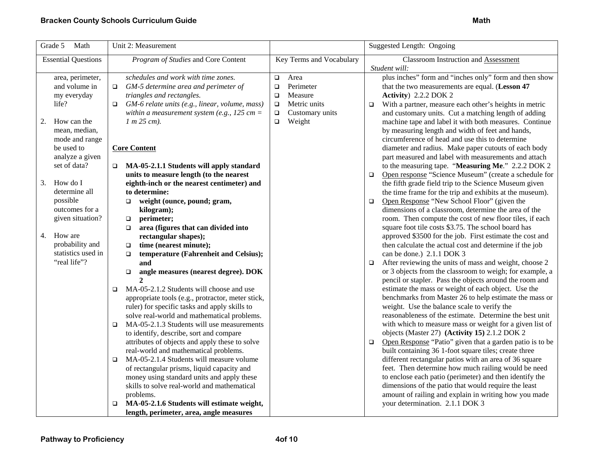## **Bracken County Schools Curriculum Guide Math Accord Accord Accord Math Accord Math Accord Math Accord Math**

| Grade 5<br>Math                 | Unit 2: Measurement                                                                                     |                           | Suggested Length: Ongoing                                                                                     |
|---------------------------------|---------------------------------------------------------------------------------------------------------|---------------------------|---------------------------------------------------------------------------------------------------------------|
| <b>Essential Questions</b>      | Program of Studies and Core Content                                                                     | Key Terms and Vocabulary  | <b>Classroom Instruction and Assessment</b>                                                                   |
| area, perimeter,                | schedules and work with time zones.                                                                     | Area<br>$\Box$            | Student will:<br>plus inches" form and "inches only" form and then show                                       |
| and volume in                   | GM-5 determine area and perimeter of<br>$\Box$                                                          | Perimeter<br>$\Box$       | that the two measurements are equal. (Lesson 47                                                               |
| my everyday                     | triangles and rectangles.                                                                               | Measure<br>$\Box$         | Activity) 2.2.2 DOK 2                                                                                         |
| life?                           | GM-6 relate units (e.g., linear, volume, mass)                                                          | Metric units<br>$\Box$    | With a partner, measure each other's heights in metric<br>$\Box$                                              |
|                                 | within a measurement system (e.g., $125 cm =$                                                           | Customary units<br>$\Box$ | and customary units. Cut a matching length of adding                                                          |
| 2.<br>How can the               | $1 m 25 cm$ ).                                                                                          | Weight<br>$\Box$          | machine tape and label it with both measures. Continue                                                        |
| mean, median,                   |                                                                                                         |                           | by measuring length and width of feet and hands,                                                              |
| mode and range                  |                                                                                                         |                           | circumference of head and use this to determine                                                               |
| be used to                      | <b>Core Content</b>                                                                                     |                           | diameter and radius. Make paper cutouts of each body                                                          |
| analyze a given<br>set of data? |                                                                                                         |                           | part measured and label with measurements and attach                                                          |
|                                 | MA-05-2.1.1 Students will apply standard<br>units to measure length (to the nearest                     |                           | to the measuring tape. "Measuring Me." 2.2.2 DOK 2<br>Open response "Science Museum" (create a schedule for   |
| How do I<br>3.                  | eighth-inch or the nearest centimeter) and                                                              |                           | $\Box$<br>the fifth grade field trip to the Science Museum given                                              |
| determine all                   | to determine:                                                                                           |                           | the time frame for the trip and exhibits at the museum).                                                      |
| possible                        | weight (ounce, pound; gram,<br>$\Box$                                                                   |                           | Open Response "New School Floor" (given the<br>$\Box$                                                         |
| outcomes for a                  | kilogram);                                                                                              |                           | dimensions of a classroom, determine the area of the                                                          |
| given situation?                | perimeter;<br>$\Box$                                                                                    |                           | room. Then compute the cost of new floor tiles, if each                                                       |
|                                 | area (figures that can divided into<br>$\Box$                                                           |                           | square foot tile costs \$3.75. The school board has                                                           |
| How are<br>4.                   | rectangular shapes);                                                                                    |                           | approved \$3500 for the job. First estimate the cost and                                                      |
| probability and                 | time (nearest minute);<br>$\Box$                                                                        |                           | then calculate the actual cost and determine if the job                                                       |
| statistics used in              | temperature (Fahrenheit and Celsius);<br>$\Box$                                                         |                           | can be done.) 2.1.1 DOK 3                                                                                     |
| "real life"?                    | and                                                                                                     |                           | After reviewing the units of mass and weight, choose 2<br>$\Box$                                              |
|                                 | angle measures (nearest degree). DOK<br>$\Box$                                                          |                           | or 3 objects from the classroom to weigh; for example, a                                                      |
|                                 | $\overline{2}$                                                                                          |                           | pencil or stapler. Pass the objects around the room and                                                       |
|                                 | MA-05-2.1.2 Students will choose and use<br>$\Box$<br>appropriate tools (e.g., protractor, meter stick, |                           | estimate the mass or weight of each object. Use the<br>benchmarks from Master 26 to help estimate the mass or |
|                                 | ruler) for specific tasks and apply skills to                                                           |                           | weight. Use the balance scale to verify the                                                                   |
|                                 | solve real-world and mathematical problems.                                                             |                           | reasonableness of the estimate. Determine the best unit                                                       |
|                                 | MA-05-2.1.3 Students will use measurements<br>$\Box$                                                    |                           | with which to measure mass or weight for a given list of                                                      |
|                                 | to identify, describe, sort and compare                                                                 |                           | objects (Master 27) (Activity 15) 2.1.2 DOK 2                                                                 |
|                                 | attributes of objects and apply these to solve                                                          |                           | Open Response "Patio" given that a garden patio is to be<br>$\Box$                                            |
|                                 | real-world and mathematical problems.                                                                   |                           | built containing 36 1-foot square tiles; create three                                                         |
|                                 | MA-05-2.1.4 Students will measure volume<br>$\Box$                                                      |                           | different rectangular patios with an area of 36 square                                                        |
|                                 | of rectangular prisms, liquid capacity and                                                              |                           | feet. Then determine how much railing would be need                                                           |
|                                 | money using standard units and apply these                                                              |                           | to enclose each patio (perimeter) and then identify the                                                       |
|                                 | skills to solve real-world and mathematical                                                             |                           | dimensions of the patio that would require the least                                                          |
|                                 | problems.                                                                                               |                           | amount of railing and explain in writing how you made                                                         |
|                                 | MA-05-2.1.6 Students will estimate weight,<br>$\Box$                                                    |                           | your determination. 2.1.1 DOK 3                                                                               |
|                                 | length, perimeter, area, angle measures                                                                 |                           |                                                                                                               |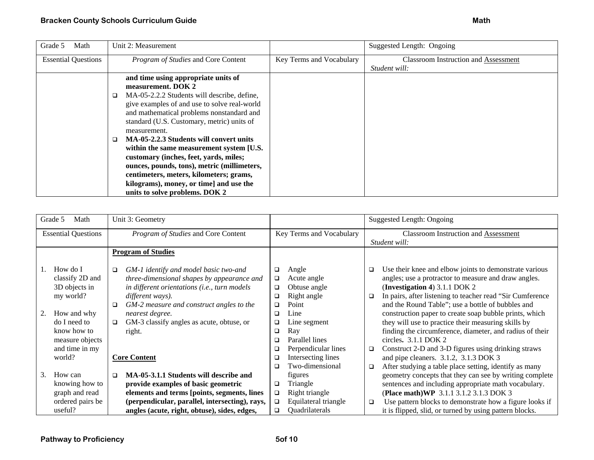| Grade 5<br>Math            | Unit 2: Measurement                          |                          | Suggested Length: Ongoing                   |
|----------------------------|----------------------------------------------|--------------------------|---------------------------------------------|
| <b>Essential Questions</b> | Program of Studies and Core Content          | Key Terms and Vocabulary | <b>Classroom Instruction and Assessment</b> |
|                            |                                              |                          | Student will:                               |
|                            | and time using appropriate units of          |                          |                                             |
|                            | measurement. DOK 2                           |                          |                                             |
|                            | MA-05-2.2.2 Students will describe, define,  |                          |                                             |
|                            | give examples of and use to solve real-world |                          |                                             |
|                            | and mathematical problems nonstandard and    |                          |                                             |
|                            | standard (U.S. Customary, metric) units of   |                          |                                             |
|                            | measurement.                                 |                          |                                             |
|                            | MA-05-2.2.3 Students will convert units      |                          |                                             |
|                            | within the same measurement system [U.S.     |                          |                                             |
|                            | customary (inches, feet, yards, miles;       |                          |                                             |
|                            | ounces, pounds, tons), metric (millimeters,  |                          |                                             |
|                            | centimeters, meters, kilometers; grams,      |                          |                                             |
|                            | kilograms), money, or time] and use the      |                          |                                             |
|                            | units to solve problems. DOK 2               |                          |                                             |

|    | Grade 5<br>Math            | Unit 3: Geometry                                 |        |                          |        | Suggested Length: Ongoing                                  |
|----|----------------------------|--------------------------------------------------|--------|--------------------------|--------|------------------------------------------------------------|
|    | <b>Essential Questions</b> | Program of Studies and Core Content              |        | Key Terms and Vocabulary |        | <b>Classroom Instruction and Assessment</b>                |
|    |                            |                                                  |        |                          |        | Student will:                                              |
|    |                            | <b>Program of Studies</b>                        |        |                          |        |                                                            |
|    |                            |                                                  |        |                          |        |                                                            |
|    | How do I                   | GM-1 identify and model basic two-and<br>□       | $\Box$ | Angle                    | ❏      | Use their knee and elbow joints to demonstrate various     |
|    | classify 2D and            | three-dimensional shapes by appearance and       | $\Box$ | Acute angle              |        | angles; use a protractor to measure and draw angles.       |
|    | 3D objects in              | in different orientations (i.e., turn models     | □      | Obtuse angle             |        | (Investigation 4) $3.1.1$ DOK 2                            |
|    | my world?                  | different ways).                                 | ❏      | Right angle              | $\Box$ | In pairs, after listening to teacher read "Sir Cumference" |
|    |                            | GM-2 measure and construct angles to the         | ❏      | Point                    |        | and the Round Table"; use a bottle of bubbles and          |
|    | How and why                | nearest degree.                                  | □      | Line                     |        | construction paper to create soap bubble prints, which     |
|    | do I need to               | GM-3 classify angles as acute, obtuse, or<br>□   | □      | Line segment             |        | they will use to practice their measuring skills by        |
|    | know how to                | right.                                           | ❏      | Ray                      |        | finding the circumference, diameter, and radius of their   |
|    | measure objects            |                                                  | □      | Parallel lines           |        | circles. $3.1.1$ DOK 2                                     |
|    | and time in my             |                                                  | ❏      | Perpendicular lines      | □      | Construct 2-D and 3-D figures using drinking straws        |
|    | world?                     | <b>Core Content</b>                              | □      | Intersecting lines       |        | and pipe cleaners. 3.1.2, 3.1.3 DOK 3                      |
|    |                            |                                                  | □      | Two-dimensional          | □      | After studying a table place setting, identify as many     |
| 3. | How can                    | MA-05-3.1.1 Students will describe and<br>$\Box$ |        | figures                  |        | geometry concepts that they can see by writing complete    |
|    | knowing how to             | provide examples of basic geometric              | □      | Triangle                 |        | sentences and including appropriate math vocabulary.       |
|    | graph and read             | elements and terms [points, segments, lines      | $\Box$ | Right triangle           |        | (Place math)WP 3.1.1 3.1.2 3.1.3 DOK 3                     |
|    | ordered pairs be           | (perpendicular, parallel, intersecting), rays,   | $\Box$ | Equilateral triangle     | $\Box$ | Use pattern blocks to demonstrate how a figure looks if    |
|    | useful?                    | angles (acute, right, obtuse), sides, edges,     | □      | Quadrilaterals           |        | it is flipped, slid, or turned by using pattern blocks.    |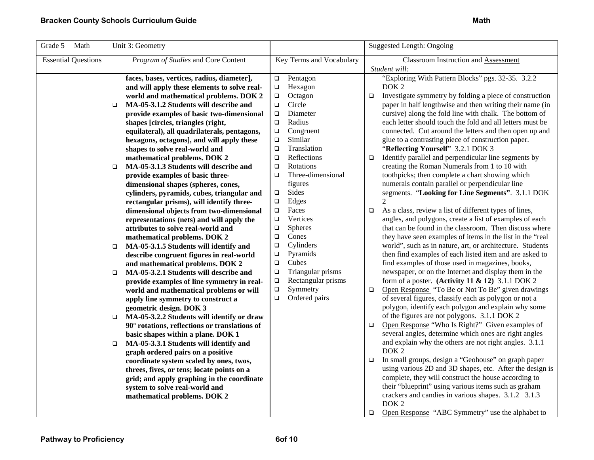| Grade 5<br>Math            | Unit 3: Geometry                                     |                              | <b>Suggested Length: Ongoing</b>                                  |
|----------------------------|------------------------------------------------------|------------------------------|-------------------------------------------------------------------|
| <b>Essential Questions</b> | Program of Studies and Core Content                  | Key Terms and Vocabulary     | <b>Classroom Instruction and Assessment</b>                       |
|                            |                                                      |                              | Student will:                                                     |
|                            | faces, bases, vertices, radius, diameter],           | Pentagon<br>$\Box$           | "Exploring With Pattern Blocks" pgs. 32-35. 3.2.2                 |
|                            | and will apply these elements to solve real-         | Hexagon<br>$\Box$            | DOK <sub>2</sub>                                                  |
|                            | world and mathematical problems. DOK 2               | Octagon<br>$\Box$            | $\Box$<br>Investigate symmetry by folding a piece of construction |
|                            | MA-05-3.1.2 Students will describe and<br>$\Box$     | Circle<br>$\Box$             | paper in half lengthwise and then writing their name (in          |
|                            | provide examples of basic two-dimensional            | Diameter<br>$\Box$           | cursive) along the fold line with chalk. The bottom of            |
|                            | shapes [circles, triangles (right,                   | Radius<br>$\Box$             | each letter should touch the fold and all letters must be         |
|                            | equilateral), all quadrilaterals, pentagons,         | Congruent<br>$\Box$          | connected. Cut around the letters and then open up and            |
|                            | hexagons, octagons], and will apply these            | Similar<br>$\Box$            | glue to a contrasting piece of construction paper.                |
|                            | shapes to solve real-world and                       | Translation<br>$\Box$        | "Reflecting Yourself" 3.2.1 DOK 3                                 |
|                            | mathematical problems. DOK 2                         | Reflections<br>$\Box$        | Identify parallel and perpendicular line segments by<br>$\Box$    |
|                            | MA-05-3.1.3 Students will describe and<br>$\Box$     | Rotations<br>$\Box$          | creating the Roman Numerals from 1 to 10 with                     |
|                            | provide examples of basic three-                     | Three-dimensional<br>$\Box$  | toothpicks; then complete a chart showing which                   |
|                            | dimensional shapes (spheres, cones,                  | figures                      | numerals contain parallel or perpendicular line                   |
|                            | cylinders, pyramids, cubes, triangular and           | Sides<br>$\Box$              | segments. "Looking for Line Segments". 3.1.1 DOK                  |
|                            | rectangular prisms), will identify three-            | Edges<br>$\Box$              | 2                                                                 |
|                            | dimensional objects from two-dimensional             | Faces<br>$\Box$              | As a class, review a list of different types of lines,<br>$\Box$  |
|                            | representations (nets) and will apply the            | Vertices<br>$\Box$           | angles, and polygons, create a list of examples of each           |
|                            | attributes to solve real-world and                   | <b>Spheres</b><br>$\Box$     | that can be found in the classroom. Then discuss where            |
|                            | mathematical problems. DOK 2                         | Cones<br>$\Box$              | they have seen examples of items in the list in the "real         |
|                            | MA-05-3.1.5 Students will identify and<br>$\Box$     | Cylinders<br>$\Box$          | world", such as in nature, art, or architecture. Students         |
|                            | describe congruent figures in real-world             | Pyramids<br>$\Box$           | then find examples of each listed item and are asked to           |
|                            | and mathematical problems. DOK 2                     | Cubes<br>$\Box$              | find examples of those used in magazines, books,                  |
|                            | MA-05-3.2.1 Students will describe and<br>$\Box$     | Triangular prisms<br>$\Box$  | newspaper, or on the Internet and display them in the             |
|                            | provide examples of line symmetry in real-           | Rectangular prisms<br>$\Box$ | form of a poster. (Activity 11 & 12) 3.1.1 DOK 2                  |
|                            | world and mathematical problems or will              | Symmetry<br>$\Box$           | Open Response "To Be or Not To Be" given drawings<br>$\Box$       |
|                            | apply line symmetry to construct a                   | Ordered pairs<br>$\Box$      | of several figures, classify each as polygon or not a             |
|                            | geometric design. DOK 3                              |                              | polygon, identify each polygon and explain why some               |
|                            | MA-05-3.2.2 Students will identify or draw<br>$\Box$ |                              | of the figures are not polygons. 3.1.1 DOK 2                      |
|                            | 90° rotations, reflections or translations of        |                              | Open Response "Who Is Right?" Given examples of<br>$\Box$         |
|                            | basic shapes within a plane. DOK 1                   |                              | several angles, determine which ones are right angles             |
|                            | MA-05-3.3.1 Students will identify and<br>□          |                              | and explain why the others are not right angles. 3.1.1            |
|                            | graph ordered pairs on a positive                    |                              | DOK <sub>2</sub>                                                  |
|                            | coordinate system scaled by ones, twos,              |                              | In small groups, design a "Geohouse" on graph paper<br>$\Box$     |
|                            | threes, fives, or tens; locate points on a           |                              | using various 2D and 3D shapes, etc. After the design is          |
|                            | grid; and apply graphing in the coordinate           |                              | complete, they will construct the house according to              |
|                            | system to solve real-world and                       |                              | their "blueprint" using various items such as graham              |
|                            | mathematical problems. DOK 2                         |                              | crackers and candies in various shapes. 3.1.2 3.1.3               |
|                            |                                                      |                              | DOK <sub>2</sub>                                                  |
|                            |                                                      |                              | Open Response "ABC Symmetry" use the alphabet to<br>$\Box$        |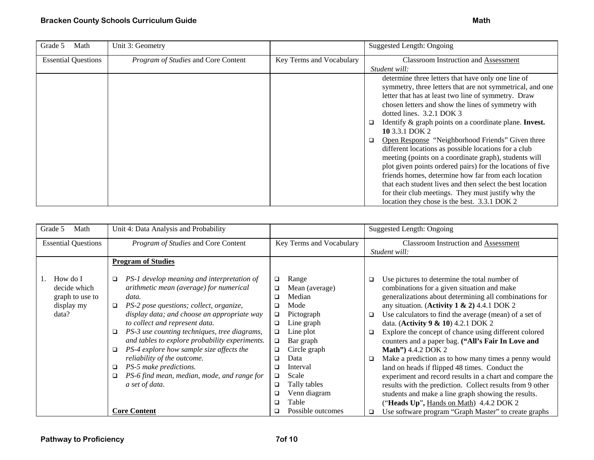| Grade 5<br>Math            | Unit 3: Geometry                    |                          | Suggested Length: Ongoing                                  |
|----------------------------|-------------------------------------|--------------------------|------------------------------------------------------------|
| <b>Essential Questions</b> | Program of Studies and Core Content | Key Terms and Vocabulary | <b>Classroom Instruction and Assessment</b>                |
|                            |                                     |                          | Student will:                                              |
|                            |                                     |                          | determine three letters that have only one line of         |
|                            |                                     |                          | symmetry, three letters that are not symmetrical, and one  |
|                            |                                     |                          | letter that has at least two line of symmetry. Draw        |
|                            |                                     |                          | chosen letters and show the lines of symmetry with         |
|                            |                                     |                          | dotted lines. 3.2.1 DOK 3                                  |
|                            |                                     |                          | Identify & graph points on a coordinate plane. Invest.     |
|                            |                                     |                          | 10 3.3.1 DOK 2                                             |
|                            |                                     |                          | Open Response "Neighborhood Friends" Given three<br>$\Box$ |
|                            |                                     |                          | different locations as possible locations for a club       |
|                            |                                     |                          | meeting (points on a coordinate graph), students will      |
|                            |                                     |                          | plot given points ordered pairs) for the locations of five |
|                            |                                     |                          | friends homes, determine how far from each location        |
|                            |                                     |                          | that each student lives and then select the best location  |
|                            |                                     |                          | for their club meetings. They must justify why the         |
|                            |                                     |                          | location they chose is the best. 3.3.1 DOK 2               |

| Grade 5<br>Math                                                    | Unit 4: Data Analysis and Probability                                                                                                                                                                                                                                                                                                                                                                                                                                                                                                                        |                                                                                                                                                                                                                                                                                                                | <b>Suggested Length: Ongoing</b>                                                                                                                                                                                                                                                                                                                                                                                                                                                                                                                                                                                                                                                                                                                                                                                                                                                      |
|--------------------------------------------------------------------|--------------------------------------------------------------------------------------------------------------------------------------------------------------------------------------------------------------------------------------------------------------------------------------------------------------------------------------------------------------------------------------------------------------------------------------------------------------------------------------------------------------------------------------------------------------|----------------------------------------------------------------------------------------------------------------------------------------------------------------------------------------------------------------------------------------------------------------------------------------------------------------|---------------------------------------------------------------------------------------------------------------------------------------------------------------------------------------------------------------------------------------------------------------------------------------------------------------------------------------------------------------------------------------------------------------------------------------------------------------------------------------------------------------------------------------------------------------------------------------------------------------------------------------------------------------------------------------------------------------------------------------------------------------------------------------------------------------------------------------------------------------------------------------|
| <b>Essential Questions</b>                                         | Program of Studies and Core Content                                                                                                                                                                                                                                                                                                                                                                                                                                                                                                                          | Key Terms and Vocabulary                                                                                                                                                                                                                                                                                       | Classroom Instruction and Assessment                                                                                                                                                                                                                                                                                                                                                                                                                                                                                                                                                                                                                                                                                                                                                                                                                                                  |
|                                                                    |                                                                                                                                                                                                                                                                                                                                                                                                                                                                                                                                                              |                                                                                                                                                                                                                                                                                                                | Student will:                                                                                                                                                                                                                                                                                                                                                                                                                                                                                                                                                                                                                                                                                                                                                                                                                                                                         |
|                                                                    | <b>Program of Studies</b>                                                                                                                                                                                                                                                                                                                                                                                                                                                                                                                                    |                                                                                                                                                                                                                                                                                                                |                                                                                                                                                                                                                                                                                                                                                                                                                                                                                                                                                                                                                                                                                                                                                                                                                                                                                       |
| How do I<br>decide which<br>graph to use to<br>display my<br>data? | PS-1 develop meaning and interpretation of<br>□<br>arithmetic mean (average) for numerical<br>data.<br>PS-2 pose questions; collect, organize,<br>$\Box$<br>display data; and choose an appropriate way<br>to collect and represent data.<br>PS-3 use counting techniques, tree diagrams,<br>$\Box$<br>and tables to explore probability experiments.<br>PS-4 explore how sample size affects the<br>□<br>reliability of the outcome.<br>PS-5 make predictions.<br>□<br>PS-6 find mean, median, mode, and range for<br>a set of data.<br><b>Core Content</b> | Range<br>$\Box$<br>Mean (average)<br>❏<br>Median<br>□<br>Mode<br>□<br>Pictograph<br>$\Box$<br>Line graph<br>□<br>Line plot<br>□<br>Bar graph<br>$\Box$<br>Circle graph<br>❏<br>Data<br>□<br>Interval<br>❏<br>Scale<br>□<br>Tally tables<br>$\Box$<br>Venn diagram<br>❏<br>Table<br>□<br>Possible outcomes<br>◻ | Use pictures to determine the total number of<br>□<br>combinations for a given situation and make<br>generalizations about determining all combinations for<br>any situation. (Activity $1 \& 2$ ) 4.4.1 DOK 2<br>Use calculators to find the average (mean) of a set of<br>$\Box$<br>data. (Activity 9 & 10) 4.2.1 DOK 2<br>Explore the concept of chance using different colored<br>$\Box$<br>counters and a paper bag. ("All's Fair In Love and<br>Math") 4.4.2 DOK 2<br>Make a prediction as to how many times a penny would<br>$\Box$<br>land on heads if flipped 48 times. Conduct the<br>experiment and record results in a chart and compare the<br>results with the prediction. Collect results from 9 other<br>students and make a line graph showing the results.<br>("Heads Up", Hands on Math) 4.4.2 DOK 2<br>Use software program "Graph Master" to create graphs<br>o. |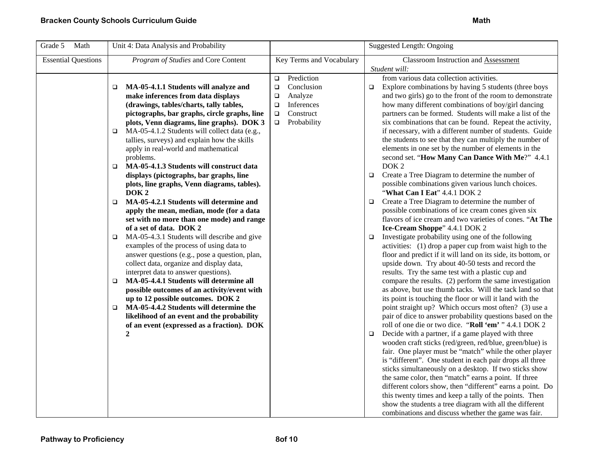| Grade 5<br>Math<br>Unit 4: Data Analysis and Probability                                                                                                                                                                                                                                                                                                                                                                                                                                                                                                                                                                                                                                                                                                                                                                                                                                                                                                                                                                                                                                                                                                                                                                                                                               | <b>Suggested Length: Ongoing</b>                                                                                                                                                                                                                                                                                                                                                                                                                                                                                                                                                                                                                                                                                                                                                                                                                                                                                                                                                                                                                                                                                                                                                                                                                                                                                                                                                                                                                                                                                                                                                                                                                                                                                                                                                                                                                                                                                                                                                                                                                                                                                                                                                                                                                                                                                                                                 |  |
|----------------------------------------------------------------------------------------------------------------------------------------------------------------------------------------------------------------------------------------------------------------------------------------------------------------------------------------------------------------------------------------------------------------------------------------------------------------------------------------------------------------------------------------------------------------------------------------------------------------------------------------------------------------------------------------------------------------------------------------------------------------------------------------------------------------------------------------------------------------------------------------------------------------------------------------------------------------------------------------------------------------------------------------------------------------------------------------------------------------------------------------------------------------------------------------------------------------------------------------------------------------------------------------|------------------------------------------------------------------------------------------------------------------------------------------------------------------------------------------------------------------------------------------------------------------------------------------------------------------------------------------------------------------------------------------------------------------------------------------------------------------------------------------------------------------------------------------------------------------------------------------------------------------------------------------------------------------------------------------------------------------------------------------------------------------------------------------------------------------------------------------------------------------------------------------------------------------------------------------------------------------------------------------------------------------------------------------------------------------------------------------------------------------------------------------------------------------------------------------------------------------------------------------------------------------------------------------------------------------------------------------------------------------------------------------------------------------------------------------------------------------------------------------------------------------------------------------------------------------------------------------------------------------------------------------------------------------------------------------------------------------------------------------------------------------------------------------------------------------------------------------------------------------------------------------------------------------------------------------------------------------------------------------------------------------------------------------------------------------------------------------------------------------------------------------------------------------------------------------------------------------------------------------------------------------------------------------------------------------------------------------------------------------|--|
| <b>Essential Questions</b><br>Program of Studies and Core Content                                                                                                                                                                                                                                                                                                                                                                                                                                                                                                                                                                                                                                                                                                                                                                                                                                                                                                                                                                                                                                                                                                                                                                                                                      | Key Terms and Vocabulary<br><b>Classroom Instruction and Assessment</b><br>Student will:                                                                                                                                                                                                                                                                                                                                                                                                                                                                                                                                                                                                                                                                                                                                                                                                                                                                                                                                                                                                                                                                                                                                                                                                                                                                                                                                                                                                                                                                                                                                                                                                                                                                                                                                                                                                                                                                                                                                                                                                                                                                                                                                                                                                                                                                         |  |
| MA-05-4.1.1 Students will analyze and<br>□<br>make inferences from data displays<br>(drawings, tables/charts, tally tables,<br>pictographs, bar graphs, circle graphs, line<br>plots, Venn diagrams, line graphs). DOK 3<br>MA-05-4.1.2 Students will collect data (e.g.,<br>$\Box$<br>tallies, surveys) and explain how the skills<br>apply in real-world and mathematical<br>problems.<br>MA-05-4.1.3 Students will construct data<br>$\Box$<br>displays (pictographs, bar graphs, line<br>plots, line graphs, Venn diagrams, tables).<br>DOK <sub>2</sub><br>MA-05-4.2.1 Students will determine and<br>$\Box$<br>apply the mean, median, mode (for a data<br>set with no more than one mode) and range<br>of a set of data. DOK 2<br>MA-05-4.3.1 Students will describe and give<br>$\Box$<br>examples of the process of using data to<br>answer questions (e.g., pose a question, plan,<br>collect data, organize and display data,<br>interpret data to answer questions).<br>MA-05-4.4.1 Students will determine all<br>$\Box$<br>possible outcomes of an activity/event with<br>up to 12 possible outcomes. DOK 2<br>MA-05-4.4.2 Students will determine the<br>o.<br>likelihood of an event and the probability<br>of an event (expressed as a fraction). DOK<br>$\mathbf{2}$ | from various data collection activities.<br>Prediction<br>$\Box$<br>Conclusion<br>Explore combinations by having 5 students (three boys<br>$\Box$<br>$\Box$<br>Analyze<br>and two girls) go to the front of the room to demonstrate<br>$\Box$<br>how many different combinations of boy/girl dancing<br>Inferences<br>$\Box$<br>Construct<br>partners can be formed. Students will make a list of the<br>$\Box$<br>Probability<br>six combinations that can be found. Repeat the activity,<br>$\Box$<br>if necessary, with a different number of students. Guide<br>the students to see that they can multiply the number of<br>elements in one set by the number of elements in the<br>second set. "How Many Can Dance With Me?" 4.4.1<br>DOK <sub>2</sub><br>Create a Tree Diagram to determine the number of<br>$\Box$<br>possible combinations given various lunch choices.<br>"What Can I Eat" 4.4.1 DOK 2<br>Create a Tree Diagram to determine the number of<br>$\Box$<br>possible combinations of ice cream cones given six<br>flavors of ice cream and two varieties of cones. "At The<br>Ice-Cream Shoppe" 4.4.1 DOK 2<br>Investigate probability using one of the following<br>$\Box$<br>activities: (1) drop a paper cup from waist high to the<br>floor and predict if it will land on its side, its bottom, or<br>upside down. Try about 40-50 tests and record the<br>results. Try the same test with a plastic cup and<br>compare the results. (2) perform the same investigation<br>as above, but use thumb tacks. Will the tack land so that<br>its point is touching the floor or will it land with the<br>point straight up? Which occurs most often? (3) use a<br>pair of dice to answer probability questions based on the<br>roll of one die or two dice. "Roll 'em' " 4.4.1 DOK 2<br>Decide with a partner, if a game played with three<br>$\Box$<br>wooden craft sticks (red/green, red/blue, green/blue) is<br>fair. One player must be "match" while the other player<br>is "different". One student in each pair drops all three<br>sticks simultaneously on a desktop. If two sticks show<br>the same color, then "match" earns a point. If three<br>different colors show, then "different" earns a point. Do<br>this twenty times and keep a tally of the points. Then<br>show the students a tree diagram with all the different |  |
|                                                                                                                                                                                                                                                                                                                                                                                                                                                                                                                                                                                                                                                                                                                                                                                                                                                                                                                                                                                                                                                                                                                                                                                                                                                                                        | combinations and discuss whether the game was fair.                                                                                                                                                                                                                                                                                                                                                                                                                                                                                                                                                                                                                                                                                                                                                                                                                                                                                                                                                                                                                                                                                                                                                                                                                                                                                                                                                                                                                                                                                                                                                                                                                                                                                                                                                                                                                                                                                                                                                                                                                                                                                                                                                                                                                                                                                                              |  |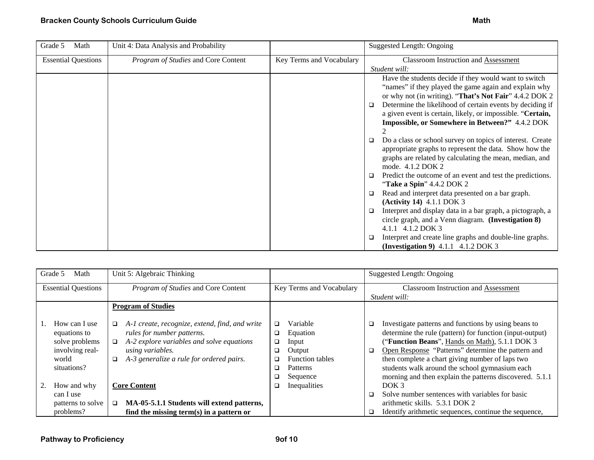| Grade 5<br>Math            | Unit 4: Data Analysis and Probability |                          | Suggested Length: Ongoing                                                                                                                                                                                                                                                                                                                                                                                                                                                                                                                                                                                                                                                                                                                                                                                                                                                                                                   |
|----------------------------|---------------------------------------|--------------------------|-----------------------------------------------------------------------------------------------------------------------------------------------------------------------------------------------------------------------------------------------------------------------------------------------------------------------------------------------------------------------------------------------------------------------------------------------------------------------------------------------------------------------------------------------------------------------------------------------------------------------------------------------------------------------------------------------------------------------------------------------------------------------------------------------------------------------------------------------------------------------------------------------------------------------------|
| <b>Essential Questions</b> | Program of Studies and Core Content   | Key Terms and Vocabulary | <b>Classroom Instruction and Assessment</b><br>Student will:                                                                                                                                                                                                                                                                                                                                                                                                                                                                                                                                                                                                                                                                                                                                                                                                                                                                |
|                            |                                       |                          | Have the students decide if they would want to switch<br>"names" if they played the game again and explain why<br>or why not (in writing). "That's Not Fair" 4.4.2 DOK 2<br>Determine the likelihood of certain events by deciding if<br>$\Box$<br>a given event is certain, likely, or impossible. "Certain,<br>Impossible, or Somewhere in Between?" 4.4.2 DOK<br>Do a class or school survey on topics of interest. Create<br>$\Box$<br>appropriate graphs to represent the data. Show how the<br>graphs are related by calculating the mean, median, and<br>mode. 4.1.2 DOK 2<br>Predict the outcome of an event and test the predictions.<br>"Take a Spin" 4.4.2 DOK 2<br>Read and interpret data presented on a bar graph.<br>$\Box$<br>(Activity 14) 4.1.1 DOK 3<br>Interpret and display data in a bar graph, a pictograph, a<br>$\Box$<br>circle graph, and a Venn diagram. (Investigation 8)<br>4.1.1 4.1.2 DOK 3 |
|                            |                                       |                          | Interpret and create line graphs and double-line graphs.<br>(Investigation 9) 4.1.1 4.1.2 DOK 3                                                                                                                                                                                                                                                                                                                                                                                                                                                                                                                                                                                                                                                                                                                                                                                                                             |

| Grade 5<br>Math            | Unit 5: Algebraic Thinking                          |                             | Suggested Length: Ongoing                                      |
|----------------------------|-----------------------------------------------------|-----------------------------|----------------------------------------------------------------|
| <b>Essential Questions</b> | Program of Studies and Core Content                 | Key Terms and Vocabulary    | <b>Classroom Instruction and Assessment</b>                    |
|                            |                                                     |                             | Student will:                                                  |
|                            | <b>Program of Studies</b>                           |                             |                                                                |
|                            |                                                     |                             |                                                                |
| How can I use              | A-1 create, recognize, extend, find, and write<br>□ | Variable<br>□               | Investigate patterns and functions by using beans to<br>$\Box$ |
| equations to               | rules for number patterns.                          | Equation<br>o.              | determine the rule (pattern) for function (input-output)       |
| solve problems             | A-2 explore variables and solve equations<br>$\Box$ | Input<br>o.                 | ("Function Beans", Hands on Math), 5.1.1 DOK 3                 |
| involving real-            | <i>using variables.</i>                             | Output<br>❏                 | Open Response "Patterns" determine the pattern and<br>$\Box$   |
| world                      | A-3 generalize a rule for ordered pairs.<br>$\Box$  | <b>Function tables</b><br>□ | then complete a chart giving number of laps two                |
| situations?                |                                                     | <b>Patterns</b><br>□        | students walk around the school gymnasium each                 |
|                            |                                                     | Sequence                    | morning and then explain the patterns discovered. 5.1.1        |
| How and why                | <b>Core Content</b>                                 | Inequalities                | DOK 3                                                          |
| can I use                  |                                                     |                             | Solve number sentences with variables for basic<br>□           |
| patterns to solve          | MA-05-5.1.1 Students will extend patterns,<br>□     |                             | arithmetic skills. 5.3.1 DOK 2                                 |
| problems?                  | find the missing term(s) in a pattern or            |                             | Identify arithmetic sequences, continue the sequence,<br>□     |